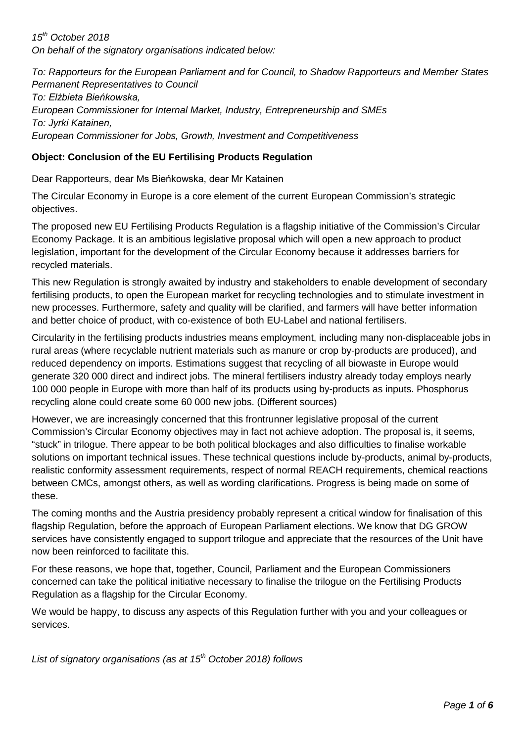*15th October 2018 On behalf of the signatory organisations indicated below:*

*To: Rapporteurs for the European Parliament and for Council, to Shadow Rapporteurs and Member States Permanent Representatives to Council*

*To: Elżbieta Bieńkowska, European Commissioner for Internal Market, Industry, Entrepreneurship and SMEs To: Jyrki Katainen, European Commissioner for Jobs, Growth, Investment and Competitiveness*

### **Object: Conclusion of the EU Fertilising Products Regulation**

Dear Rapporteurs, dear Ms Bieńkowska, dear Mr Katainen

The Circular Economy in Europe is a core element of the current European Commission's strategic objectives.

The proposed new EU Fertilising Products Regulation is a flagship initiative of the Commission's Circular Economy Package. It is an ambitious legislative proposal which will open a new approach to product legislation, important for the development of the Circular Economy because it addresses barriers for recycled materials.

This new Regulation is strongly awaited by industry and stakeholders to enable development of secondary fertilising products, to open the European market for recycling technologies and to stimulate investment in new processes. Furthermore, safety and quality will be clarified, and farmers will have better information and better choice of product, with co-existence of both EU-Label and national fertilisers.

Circularity in the fertilising products industries means employment, including many non-displaceable jobs in rural areas (where recyclable nutrient materials such as manure or crop by-products are produced), and reduced dependency on imports. Estimations suggest that recycling of all biowaste in Europe would generate 320 000 direct and indirect jobs. The mineral fertilisers industry already today employs nearly 100 000 people in Europe with more than half of its products using by-products as inputs. Phosphorus recycling alone could create some 60 000 new jobs. (Different sources)

However, we are increasingly concerned that this frontrunner legislative proposal of the current Commission's Circular Economy objectives may in fact not achieve adoption. The proposal is, it seems, "stuck" in trilogue. There appear to be both political blockages and also difficulties to finalise workable solutions on important technical issues. These technical questions include by-products, animal by-products, realistic conformity assessment requirements, respect of normal REACH requirements, chemical reactions between CMCs, amongst others, as well as wording clarifications. Progress is being made on some of these.

The coming months and the Austria presidency probably represent a critical window for finalisation of this flagship Regulation, before the approach of European Parliament elections. We know that DG GROW services have consistently engaged to support trilogue and appreciate that the resources of the Unit have now been reinforced to facilitate this.

For these reasons, we hope that, together, Council, Parliament and the European Commissioners concerned can take the political initiative necessary to finalise the trilogue on the Fertilising Products Regulation as a flagship for the Circular Economy.

We would be happy, to discuss any aspects of this Regulation further with you and your colleagues or services.

*List of signatory organisations (as at 15th October 2018) follows*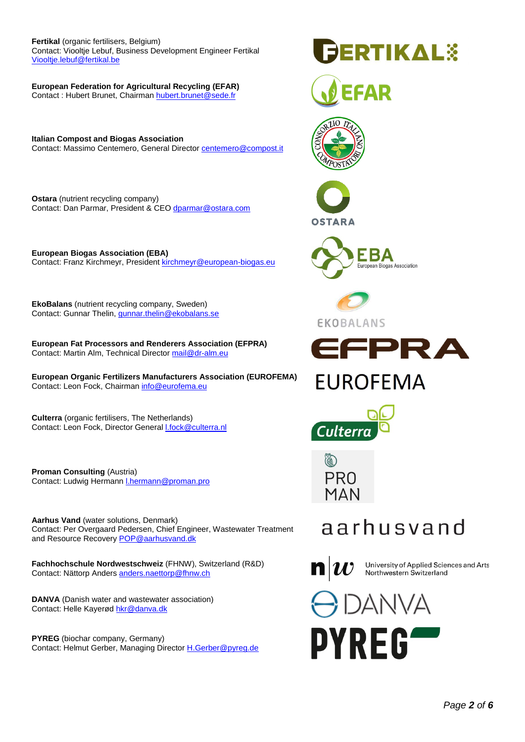#### **Fertikal** (organic fertilisers, Belgium)

Contact: Viooltje Lebuf, Business Development Engineer Fertikal [Viooltje.lebuf@fertikal.be](mailto:Viooltje.lebuf@fertikal.be)

**European Federation for Agricultural Recycling (EFAR)** Contact : Hubert Brunet, Chairman [hubert.brunet@sede.fr](mailto:hubert.brunet@sede.fr)

**Italian Compost and Biogas Association** Contact: Massimo Centemero, General Directo[r centemero@compost.it](mailto:centemero@compost.it)

**Ostara** (nutrient recycling company) Contact: Dan Parmar, President & CE[O dparmar@ostara.com](mailto:dparmar@ostara.com)

**European Biogas Association (EBA)** Contact: Franz Kirchmeyr, Presiden[t kirchmeyr@european-biogas.eu](mailto:kirchmeyr@european-biogas.eu)

**EkoBalans** (nutrient recycling company, Sweden) Contact: Gunnar Thelin, [gunnar.thelin@ekobalans.se](mailto:gunnar.thelin@ekobalans.se)

**European Fat Processors and Renderers Association (EFPRA)** Contact: Martin Alm, Technical Director [mail@dr-alm.eu](mailto:mail@dr-alm.eu)

**European Organic Fertilizers Manufacturers Association (EUROFEMA)** Contact: Leon Fock, Chairma[n info@eurofema.eu](mailto:info@eurofema.eu)

**Culterra** (organic fertilisers, The Netherlands) Contact: Leon Fock, Director Genera[l l.fock@culterra.nl](mailto:l.fock@culterra.nl)

**Proman Consulting** (Austria) Contact: Ludwig Hermann *I.hermann@proman.pro* 

**Aarhus Vand** (water solutions, Denmark) Contact: Per Overgaard Pedersen, Chief Engineer, Wastewater Treatment and Resource Recovery [POP@aarhusvand.dk](mailto:POP@aarhusvand.dk)

**Fachhochschule Nordwestschweiz** (FHNW), Switzerland (R&D) Contact: Nättorp Anders [anders.naettorp@fhnw.ch](mailto:anders.naettorp@fhnw.ch)

**DANVA** (Danish water and wastewater association) Contact: Helle Kayerø[d hkr@danva.dk](mailto:hkr@danva.dk)

**PYREG** (biochar company, Germany) Contact: Helmut Gerber, Managing Director [H.Gerber@pyreg.de](mailto:H.Gerber@pyreg.de)

## **ERTIKAL**\$

















PR<sub>0</sub> MAN

## aarhusvand

 $\mathbf{n}|w$ 

University of Applied Sciences and Arts Northwestern Switzerland

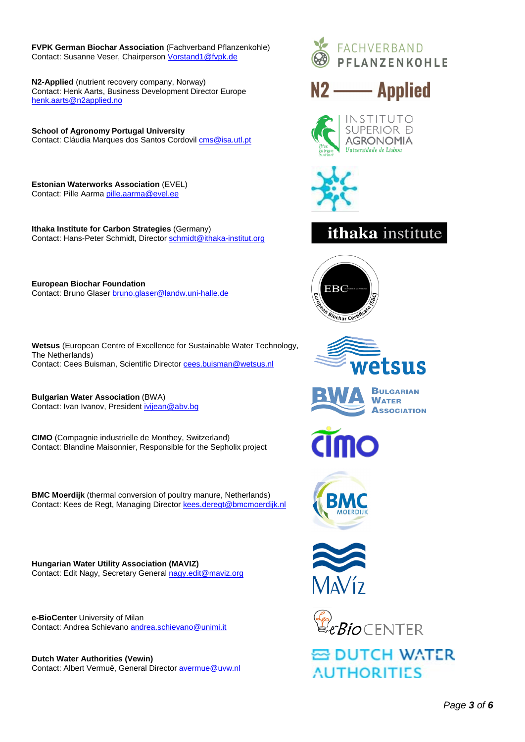**FVPK German Biochar Association** (Fachverband Pflanzenkohle) Contact: Susanne Veser, Chairperson [Vorstand1@fvpk.de](mailto:Vorstand1@fvpk.de)

**N2-Applied** (nutrient recovery company, Norway) Contact: Henk Aarts, Business Development Director Europe [henk.aarts@n2applied.no](mailto:henk.aarts@n2applied.no)

**School of Agronomy Portugal University** Contact: Cláudia Marques dos Santos Cordovi[l cms@isa.utl.pt](mailto:cms@isa.utl.pt)

**Estonian Waterworks Association** (EVEL) Contact: Pille Aarm[a pille.aarma@evel.ee](mailto:pille.aarma@evel.ee)

**Ithaka Institute for Carbon Strategies** (Germany) Contact: Hans-Peter Schmidt, Directo[r schmidt@ithaka-institut.org](mailto:schmidt@ithaka-institut.org)

**European Biochar Foundation** Contact: Bruno Glase[r bruno.glaser@landw.uni-halle.de](mailto:bruno.glaser@landw.uni-halle.de)

**Wetsus** (European Centre of Excellence for Sustainable Water Technology, The Netherlands) Contact: Cees Buisman, Scientific Director [cees.buisman@wetsus.nl](mailto:cees.buisman@wetsus.nl)

**Bulgarian Water Association** (BWA) Contact: Ivan Ivanov, Presiden[t ivijean@abv.bg](mailto:ivijean@abv.bg)

**CIMO** (Compagnie industrielle de Monthey, Switzerland) Contact: Blandine Maisonnier, Responsible for the Sepholix project

**BMC Moerdijk** (thermal conversion of poultry manure, Netherlands) Contact: Kees de Regt, Managing Director [kees.deregt@bmcmoerdijk.nl](mailto:kees.deregt@bmcmoerdijk.nl)

**Hungarian Water Utility Association (MAVIZ)** Contact: Edit Nagy, Secretary General [nagy.edit@maviz.org](mailto:nagy.edit@maviz.org)

**e-BioCenter** University of Milan Contact: Andrea Schievano [andrea.schievano@unimi.it](mailto:andrea.schievano@unimi.it)

**Dutch Water Authorities (Vewin)** Contact: Albert Vermuë, General Director [avermue@uvw.nl](mailto:avermue@uvw.nl)









### **ithaka** institute













**줄 DUTCH WATER AUTHORITIES**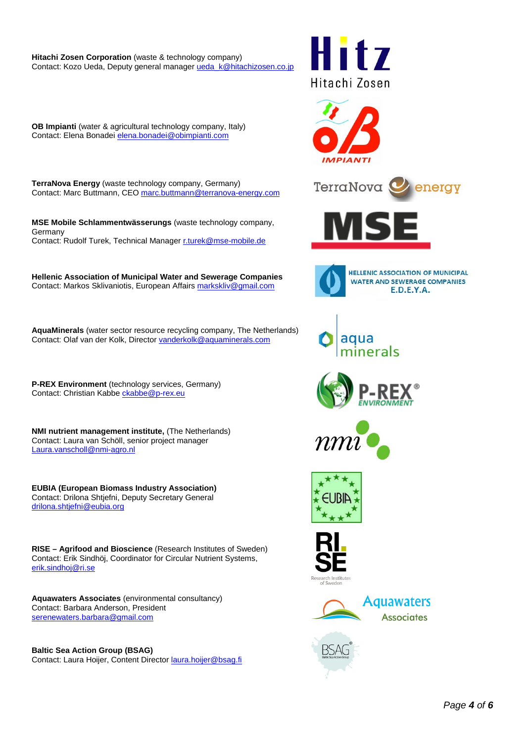**Hitachi Zosen Corporation** (waste & technology company) Contact: Kozo Ueda, Deputy general manager ueda k@hitachizosen.co.jp

i † 7 Hitachi Zosen



TerraNova

**TerraNova Energy** (waste technology company, Germany) Contact: Marc Buttmann, CEO [marc.buttmann@terranova-energy.com](mailto:marc.buttmann@terranova-energy.com)

**OB Impianti** (water & agricultural technology company, Italy) Contact: Elena Bonadei [elena.bonadei@obimpianti.com](mailto:elena.bonadei@obimpianti.com)

**MSE Mobile Schlammentwässerungs** (waste technology company, Germany Contact: Rudolf Turek, Technical Manager [r.turek@mse-mobile.de](mailto:r.turek@mse-mobile.de)

**Hellenic Association of Municipal Water and Sewerage Companies** Contact: Markos Sklivaniotis, European Affair[s markskliv@gmail.com](mailto:markskliv@gmail.com)

**AquaMinerals** (water sector resource recycling company, The Netherlands) Contact: Olaf van der Kolk, Director [vanderkolk@aquaminerals.com](mailto:vanderkolk@aquaminerals.com)

**P-REX Environment** (technology services, Germany) Contact: Christian Kabb[e ckabbe@p-rex.eu](mailto:ckabbe@p-rex.eu)

**NMI nutrient management institute,** (The Netherlands) Contact: Laura van Schöll, senior project manager [Laura.vanscholl@nmi-agro.nl](mailto:Laura.vanscholl@nmi-agro.nl)

**EUBIA (European Biomass Industry Association)** Contact: Drilona Shtjefni, Deputy Secretary General [drilona.shtjefni@eubia.org](mailto:drilona.shtjefni@eubia.org)

**RISE – Agrifood and Bioscience** (Research Institutes of Sweden) Contact: Erik Sindhöj, Coordinator for Circular Nutrient Systems, [erik.sindhoj@ri.se](mailto:erik.sindhoj@ri.se)

**Aquawaters Associates** (environmental consultancy) Contact: Barbara Anderson, President [serenewaters.barbara@gmail.com](mailto:serenewaters.barbara@gmail.com)

**Baltic Sea Action Group (BSAG)** Contact: Laura Hoijer, Content Director [laura.hoijer@bsag.fi](mailto:laura.hoijer@bsag.fi)





energy











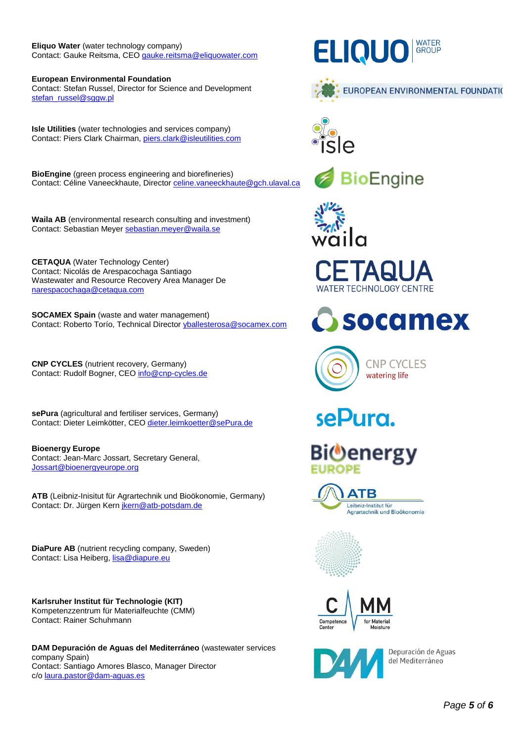#### **Eliquo Water** (water technology company) Contact: Gauke Reitsma, CEO [gauke.reitsma@eliquowater.com](mailto:gauke.reitsma@eliquowater.com)

**European Environmental Foundation** Contact: Stefan Russel, Director for Science and Development [stefan\\_russel@sggw.pl](mailto:stefan_russel@sggw.pl)

**Isle Utilities** (water technologies and services company) Contact: Piers Clark Chairman[, piers.clark@isleutilities.com](mailto:piers.clark@isleutilities.com)

**BioEngine** (green process engineering and biorefineries) Contact: Céline Vaneeckhaute, Director [celine.vaneeckhaute@gch.ulaval.ca](mailto:celine.vaneeckhaute@gch.ulaval.ca)

**Waila AB** (environmental research consulting and investment) Contact: Sebastian Meyer [sebastian.meyer@waila.se](mailto:sebastian.meyer@waila.se)

**CETAQUA** (Water Technology Center) Contact: Nicolás de Arespacochaga Santiago Wastewater and Resource Recovery Area Manager De [narespacochaga@cetaqua.com](mailto:narespacochaga@cetaqua.com)

**SOCAMEX Spain** (waste and water management) Contact: Roberto Torío, Technical Directo[r yballesterosa@socamex.com](mailto:yballesterosa@socamex.com)

**CNP CYCLES** (nutrient recovery, Germany) Contact: Rudolf Bogner, CE[O info@cnp-cycles.de](mailto:info@cnp-cycles.de)

**sePura** (agricultural and fertiliser services, Germany) Contact: Dieter Leimkötter, CE[O dieter.leimkoetter@sePura.de](mailto:dieter.leimkoetter@sePura.de)

**Bioenergy Europe** Contact: Jean-Marc Jossart, Secretary General, [Jossart@bioenergyeurope.org](mailto:Jossart@bioenergyeurope.org)

**ATB** (Leibniz-Inisitut für Agrartechnik und Bioökonomie, Germany) Contact: Dr. Jürgen Kern [jkern@atb-potsdam.de](mailto:jkern@atb-potsdam.de)

**DiaPure AB** (nutrient recycling company, Sweden) Contact: Lisa Heiberg[, lisa@diapure.eu](mailto:lisa@diapure.eu)

**Karlsruher Institut für Technologie (KIT)** Kompetenzzentrum für Materialfeuchte (CMM) Contact: Rainer Schuhmann

**DAM Depuración de Aguas del Mediterráneo** (wastewater services company Spain) Contact: Santiago Amores Blasco, Manager Director c/[o laura.pastor@dam-aguas.es](mailto:laura.pastor@dam-aguas.es)

### **ELIQUO** GROUP















## sePura.

# Bi®energy







Depuración de Aguas del Mediterráneo